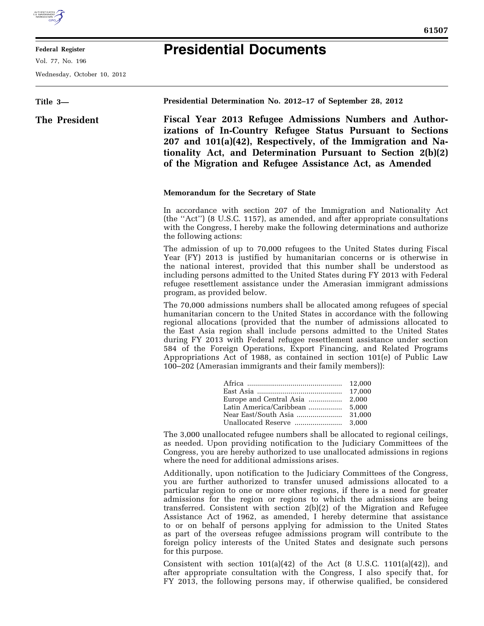

**Federal Register** 

Vol. 77, No. 196

Wednesday, October 10, 2012

## **Presidential Documents**

## **Title 3— The President Presidential Determination No. 2012–17 of September 28, 2012 Fiscal Year 2013 Refugee Admissions Numbers and Authorizations of In-Country Refugee Status Pursuant to Sections 207 and 101(a)(42), Respectively, of the Immigration and Nationality Act, and Determination Pursuant to Section 2(b)(2) of the Migration and Refugee Assistance Act, as Amended Memorandum for the Secretary of State**  In accordance with section 207 of the Immigration and Nationality Act (the ''Act'') (8 U.S.C. 1157), as amended, and after appropriate consultations with the Congress, I hereby make the following determinations and authorize the following actions: The admission of up to 70,000 refugees to the United States during Fiscal Year (FY) 2013 is justified by humanitarian concerns or is otherwise in the national interest, provided that this number shall be understood as including persons admitted to the United States during FY 2013 with Federal refugee resettlement assistance under the Amerasian immigrant admissions program, as provided below. The 70,000 admissions numbers shall be allocated among refugees of special humanitarian concern to the United States in accordance with the following regional allocations (provided that the number of admissions allocated to the East Asia region shall include persons admitted to the United States during FY 2013 with Federal refugee resettlement assistance under section 584 of the Foreign Operations, Export Financing, and Related Programs Appropriations Act of 1988, as contained in section 101(e) of Public Law 100–202 (Amerasian immigrants and their family members)): Africa ................................................ 12,000 East Asia ........................................... 17,000 Europe and Central Asia ................. 2,000 Latin America/Caribbean ................. 5,000 Near East/South Asia ....................... 31,000 Unallocated Reserve ........................ 3,000 The 3,000 unallocated refugee numbers shall be allocated to regional ceilings, as needed. Upon providing notification to the Judiciary Committees of the Congress, you are hereby authorized to use unallocated admissions in regions where the need for additional admissions arises. Additionally, upon notification to the Judiciary Committees of the Congress,

you are further authorized to transfer unused admissions allocated to a particular region to one or more other regions, if there is a need for greater admissions for the region or regions to which the admissions are being transferred. Consistent with section 2(b)(2) of the Migration and Refugee Assistance Act of 1962, as amended, I hereby determine that assistance to or on behalf of persons applying for admission to the United States as part of the overseas refugee admissions program will contribute to the foreign policy interests of the United States and designate such persons for this purpose.

Consistent with section  $101(a)(42)$  of the Act (8 U.S.C. 1101(a)(42)), and after appropriate consultation with the Congress, I also specify that, for FY 2013, the following persons may, if otherwise qualified, be considered